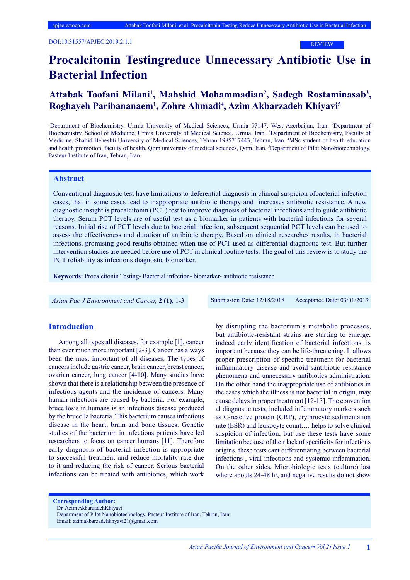REVIEW

# **Procalcitonin Testingreduce Unnecessary Antibiotic Use in Bacterial Infection**

# Attabak Toofani Milani<sup>1</sup>, Mahshid Mohammadian<sup>2</sup>, Sadegh Rostaminasab<sup>3</sup>, **Roghayeh Paribananaem1 , Zohre Ahmadi4 , Azim Akbarzadeh Khiyavi5**

<sup>1</sup>Department of Biochemistry, Urmia University of Medical Sciences, Urmia 57147, West Azerbaijan, Iran. <sup>2</sup>Department of Biochemistry, School of Medicine, Urmia University of Medical Science, Urmia, Iran. 3Department of Biochemistry, Faculty of Medicine, Shahid Beheshti University of Medical Sciences, Tehran 1985717443, Tehran, Iran. <sup>4</sup>MSc student of health education and health promotion, faculty of health, Qom university of medical sciences, Qom, Iran. 5 Department of Pilot Nanobiotechnology, Pasteur Institute of Iran, Tehran, Iran.

### **Abstract**

Conventional diagnostic test have limitations to deferential diagnosis in clinical suspicion ofbacterial infection cases, that in some cases lead to inappropriate antibiotic therapy and increases antibiotic resistance. A new diagnostic insight is procalcitonin (PCT) test to improve diagnosis of bacterial infections and to guide antibiotic therapy. Serum PCT levels are of useful test as a biomarker in patients with bacterial infections for several reasons. Initial rise of PCT levels due to bacterial infection, subsequent sequential PCT levels can be used to assess the effectiveness and duration of antibiotic therapy. Based on clinical researches results, in bacterial infections, promising good results obtained when use of PCT used as differential diagnostic test. But further intervention studies are needed before use of PCT in clinical routine tests. The goal of this review is to study the PCT reliability as infections diagnostic biomarker.

**Keywords:** Procalcitonin Testing- Bacterial infection- biomarker- antibiotic resistance

 *Asian Pac J Environment and Cancer,* **2 (1)**, 1-3 Submission Date: 12/18/2018 Acceptance Date: 03/01/2019

#### **Introduction**

Among all types all diseases, for example [1], cancer than ever much more important [2-3]. Cancer has always been the most important of all diseases. The types of cancers include gastric cancer, brain cancer, breast cancer, ovarian cancer, lung cancer [4-10]. Many studies have shown that there is a relationship between the presence of infectious agents and the incidence of cancers. Many human infections are caused by bacteria. For example, brucellosis in humans is an infectious disease produced by the brucella bacteria. This bacterium causes infectious disease in the heart, brain and bone tissues. Genetic studies of the bacterium in infectious patients have led researchers to focus on cancer humans [11]. Therefore early diagnosis of bacterial infection is appropriate to successful treatment and reduce mortality rate due to it and reducing the risk of cancer. Serious bacterial infections can be treated with antibiotics, which work by disrupting the bacterium's metabolic processes, but antibiotic-resistant strains are starting to emerge, indeed early identification of bacterial infections, is important because they can be life-threatening. It allows proper prescription of specific treatment for bacterial inflammatory disease and avoid santibiotic resistance phenomena and unnecessary antibiotics administration. On the other hand the inappropriate use of antibiotics in the cases which the illness is not bacterial in origin, may cause delays in proper treatment [12-13]. The convention al diagnostic tests, included inflammatory markers such as C-reactive protein (CRP), erythrocyte sedimentation rate (ESR) and leukocyte count,… helps to solve clinical suspicion of infection, but use these tests have some limitation because of their lack of specificity for infections origins. these tests cant differentiating between bacterial infections , viral infections and systemic inflammation. On the other sides, Microbiologic tests (culture) last where abouts 24-48 hr, and negative results do not show

**Corresponding Author:**

Dr. Azim AkbarzadehKhiyavi

Email: azimakbarzadehkhyavi21@gmail.com

Department of Pilot Nanobiotechnology, Pasteur Institute of Iran, Tehran, Iran.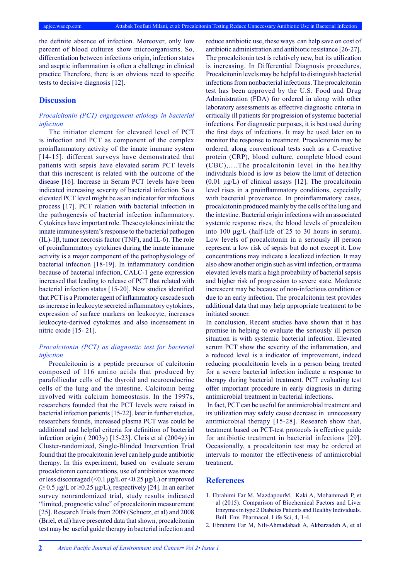the definite absence of infection. Moreover, only low percent of blood cultures show microorganisms. So, differentiation between infections origin, infection states and aseptic inflammation is often a challenge in clinical practice Therefore, there is an obvious need to specific tests to decisive diagnosis [12].

#### **Discussion**

### *Procalcitonin (PCT) engagement etiology in bacterial infection*

The initiator element for elevated level of PCT is infection and PCT as component of the complex proinflammatory activity of the innate immune system [14-15]. different surveys have demonstrated that patients with sepsis have elevated serum PCT levels that this increscent is related with the outcome of the disease [16]. Increase in Serum PCT levels have been indicated increasing severity of bacterial infection. So a elevated PCT level might be as an indicator for infectious process [17]. PCT relation with bacterial infection in the pathogenesis of bacterial infection inflammatory. Cytokines have important role. These cytokines initiate the innate immune system's response to the bacterial pathogen (IL)-1β, tumor necrosis factor (TNF), and IL-6). The role of proinflammatory cytokines during the innate immune activity is a major component of the pathophysiology of bacterial infection [18-19]. In inflammatory condition because of bacterial infection, CALC-1 gene expression increased that leading to release of PCT that related with bacterial infection status [15-20]. New studies identified that PCT is a Promoter agent of inflammatory cascade such as increase in leukocyte secreted inflammatory cytokines, expression of surface markers on leukocyte, increases leukocyte-derived cytokines and also incensement in nitric oxide [15- 21].

#### *Procalcitonin (PCT) as diagnostic test for bacterial infection*

Procalcitonin is a peptide precursor of calcitonin composed of 116 amino acids that produced by parafollicular cells of the thyroid and neuroendocrine cells of the lung and the intestine. Calcitonin being involved with calcium homeostasis. In the 1997s, researchers founded that the PCT levels were raised in bacterial infection patients [15-22]. later in further studies, researchers founds, increased plasma PCT was could be additional and helpful criteria for definition of bacterial infection origin ( 2003y) [15-23]. Chris et al (2004y) in Cluster-randomized, Single-Blinded Intervention Trial found that the procalcitonin level can help guide antibiotic therapy. In this experiment, based on evaluate serum procalcitonin concentrations, use of antibiotics was more or less discouraged (<0.1 μg/L or <0.25 μg/L) or improved  $(≥ 0.5 \mu g/L or ≥ 0.25 \mu g/L)$ , respectively [24]. In an earlier survey nonrandomized trial, study results indicated "limited, prognostic value" of procalcitonin measurement [25]. Research Trials from 2009 (Schuetz, et al) and 2008 (Briel, et al) have presented data that shown, procalcitonin test may be useful guide therapy in bacterial infection and reduce antibiotic use, these ways can help save on cost of antibiotic administration and antibiotic resistance [26-27]. The procalcitonin test is relatively new, but its utilization is increasing. In Differential Diagnosis procedures, Procalcitonin levels may be helpful to distinguish bacterial infections from nonbacterial infections. The procalcitonin test has been approved by the U.S. Food and Drug Administration (FDA) for ordered in along with other laboratory assessments as effective diagnostic criteria in critically ill patients for progression of systemic bacterial infections. For diagnostic purposes, it is best used during the first days of infections. It may be used later on to monitor the response to treatment. Procalcitonin may be ordered, along conventional tests such as a C-reactive protein (CRP), blood culture, complete blood count (CBC),….The procalcitonin level in the healthy individuals blood is low as below the limit of detection  $(0.01 \mu g/L)$  of clinical assays [12]. The procalcitonin level rises in a proinflammatory conditions, especially with bacterial provenance. In proinflammatory cases, procalcitonin produced mainly by the cells of the lung and the intestine. Bacterial origin infections with an associated systemic response rises, the blood levels of procalciton into 100 µg/L (half-life of 25 to 30 hours in serum). Low levels of procalcitonin in a seriously ill person represent a low risk of sepsis but do not except it. Low concentrations may indicate a localized infection. It may also show another origin such as viral infection, or trauma elevated levels mark a high probability of bacterial sepsis and higher risk of progression to severe state. Moderate increscent may be because of non-infectious condition or due to an early infection. The procalcitonin test provides additional data that may help appropriate treatment to be initiated sooner.

In conclusion, Recent studies have shown that it has promise in helping to evaluate the seriously ill person situation is with systemic bacterial infection. Elevated serum PCT show the severity of the inflammation, and a reduced level is a indicator of improvement, indeed reducing procalcitonin levels in a person being treated for a severe bacterial infection indicate a response to therapy during bacterial treatment. PCT evaluating test offer important procedure in early diagnosis in during antimicrobial treatment in bacterial infections.

 In fact, PCT can be useful for antimicrobial treatment and its utilization may safely cause decrease in unnecessary antimicrobial therapy [15-28]. Research show that, treatment based on PCT-test protocols is effective guide for antibiotic treatment in bacterial infections [29]. Occasionally, a procalcitonin test may be ordered at intervals to monitor the effectiveness of antimicrobial treatment.

#### **References**

- 1. Ebrahimi Far M, MazdapourM, Kaki A, Mohammadi P, et al (2015). Comparison of Biochemical Factors and Liver Enzymes in type 2 Diabetes Patients and Healthy Individuals. Bull. Env. Pharmacol. Life Sci, 4, 1-4.
- 2. Ebrahimi Far M, Nili-Ahmadabadi A, Akbarzadeh A, et al